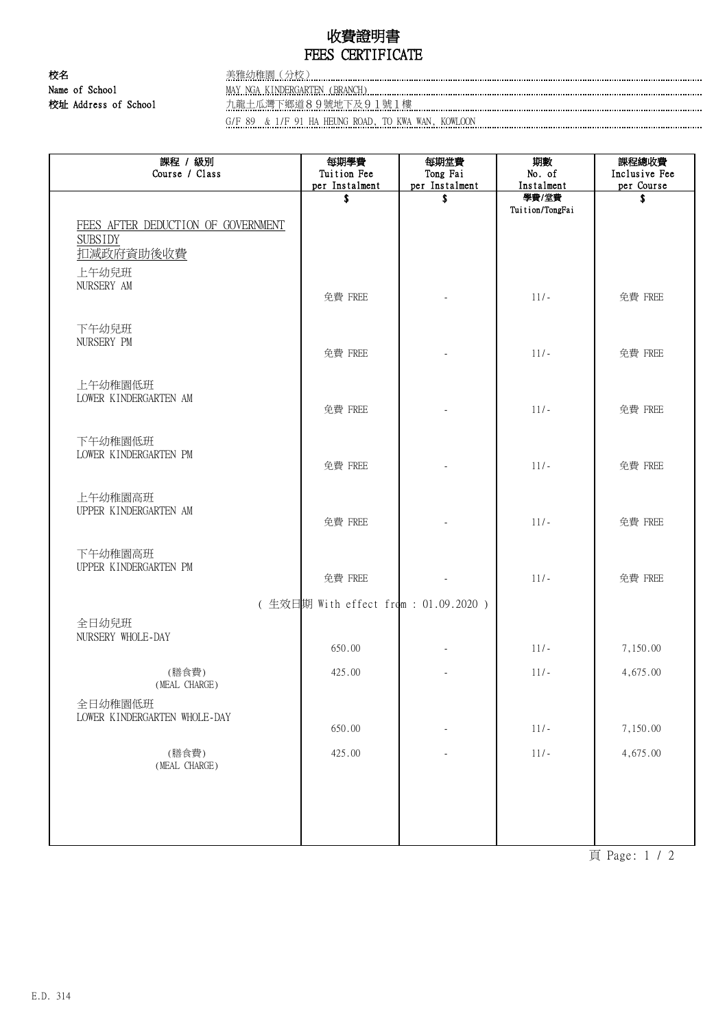## 收費證明書 FEES CERTIFICATE

校名 李 李 李 李 李 李雅幼稚園 (分校)

Name of School MAY NGA KINDERGARTEN (BRANCH)

校址 Address of School カールトンのコール アルティング・ディング・ディング・ディング 2011號1樓 カールトンのコールトンのコールトンのコールトンのコールトンのコールトンのコールトンのコールトンのコ<br>1999年 - カールトンのコールトンのコールトンのコールトンのコールトンのコールトンのコールトンのコールトンのコールトンのコールトンのコールトンのコールトンのコールトンのコールトンのコールトンのコールトンのコールトン

G/F 89 & 1/F 91 HA HEUNG ROAD, TO KWA WAN, KOWLOON

| 課程 / 級別<br>Course / Class                                                  | 每期學費<br>Tuition Fee<br>per Instalment | 每期堂費<br>Tong Fai<br>per Instalment | 期數<br>No. of<br>Instalment | 課程總收費<br>Inclusive Fee<br>per Course |  |
|----------------------------------------------------------------------------|---------------------------------------|------------------------------------|----------------------------|--------------------------------------|--|
|                                                                            | \$                                    | \$                                 | 學費/堂費<br>Tuition/TongFai   | \$                                   |  |
| FEES AFTER DEDUCTION OF GOVERNMENT<br><b>SUBSIDY</b><br>扣減政府資助後收費<br>上午幼兒班 |                                       |                                    |                            |                                      |  |
| NURSERY AM                                                                 | 免費 FREE                               |                                    | $11/-$                     | 免費 FREE                              |  |
| 下午幼兒班<br>NURSERY PM                                                        | 免費 FREE                               |                                    | $11/-$                     | 免費 FREE                              |  |
| 上午幼稚園低班<br>LOWER KINDERGARTEN AM                                           | 免費 FREE                               |                                    | $11/-$                     | 免費 FREE                              |  |
| 下午幼稚園低班<br>LOWER KINDERGARTEN PM                                           | 免費 FREE                               |                                    | $11/-$                     | 免費 FREE                              |  |
| 上午幼稚園高班<br>UPPER KINDERGARTEN AM                                           | 免費 FREE                               |                                    | $11/-$                     | 免費 FREE                              |  |
| 下午幼稚園高班<br>UPPER KINDERGARTEN PM                                           | 免費 FREE                               |                                    | $11/-$                     | 免費 FREE                              |  |
| (生效日期 With effect from: 01.09.2020)                                        |                                       |                                    |                            |                                      |  |
| 全日幼兒班<br>NURSERY WHOLE-DAY                                                 | 650.00                                |                                    | $11/-$                     | 7,150.00                             |  |
| (膳食費)<br>(MEAL CHARGE)                                                     | 425.00                                |                                    | $11/-$                     | 4,675.00                             |  |
| 全日幼稚園低班<br>LOWER KINDERGARTEN WHOLE-DAY                                    | 650.00                                |                                    | $11/-$                     | 7,150.00                             |  |
| (膳食費)<br>(MEAL CHARGE)                                                     | 425.00                                |                                    | $11/-$                     | 4,675.00                             |  |
|                                                                            |                                       |                                    |                            |                                      |  |
|                                                                            |                                       |                                    |                            |                                      |  |

頁 Page: 1 / 2